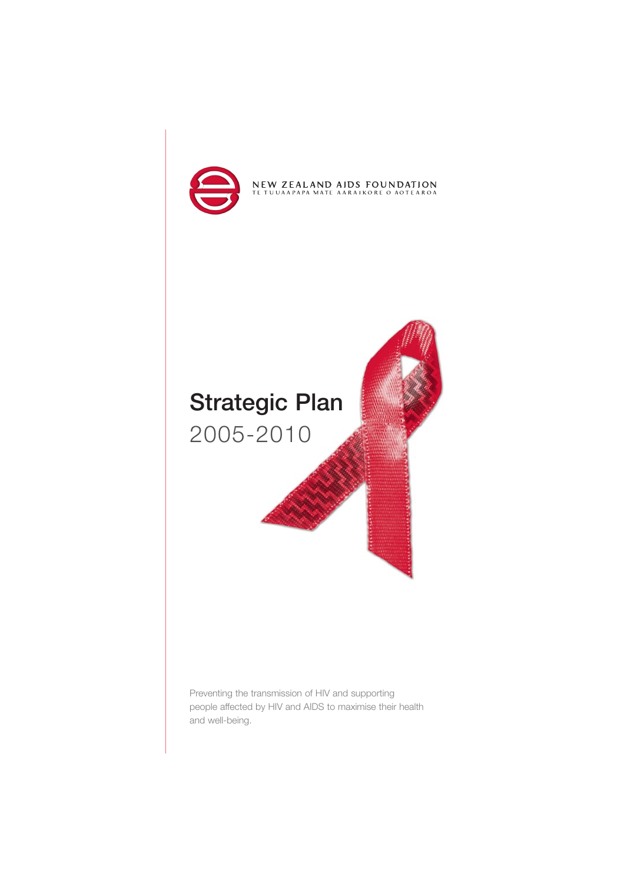



Preventing the transmission of HIV and supporting people affected by HIV and AIDS to maximise their health and well-being.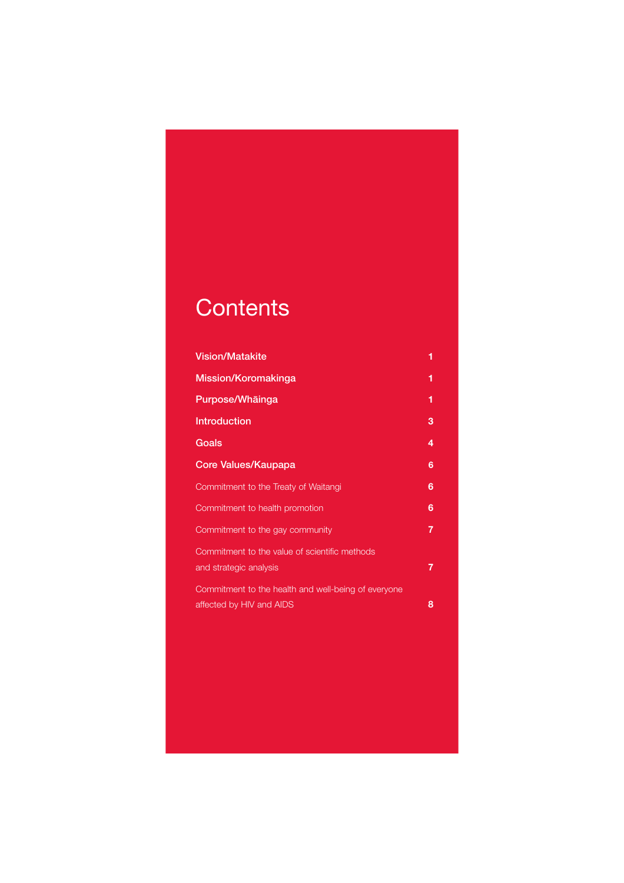# **Contents**

| <b>Vision/Matakite</b>                                                          | 1 |
|---------------------------------------------------------------------------------|---|
| Mission/Koromakinga                                                             | 1 |
| Purpose/Whāinga                                                                 | 1 |
| <b>Introduction</b>                                                             | з |
| Goals                                                                           | 4 |
| Core Values/Kaupapa                                                             | 6 |
| Commitment to the Treaty of Waitangi                                            | 6 |
| Commitment to health promotion                                                  | 6 |
| Commitment to the gay community                                                 | 7 |
| Commitment to the value of scientific methods<br>and strategic analysis         | 7 |
| Commitment to the health and well-being of everyone<br>affected by HIV and AIDS | 8 |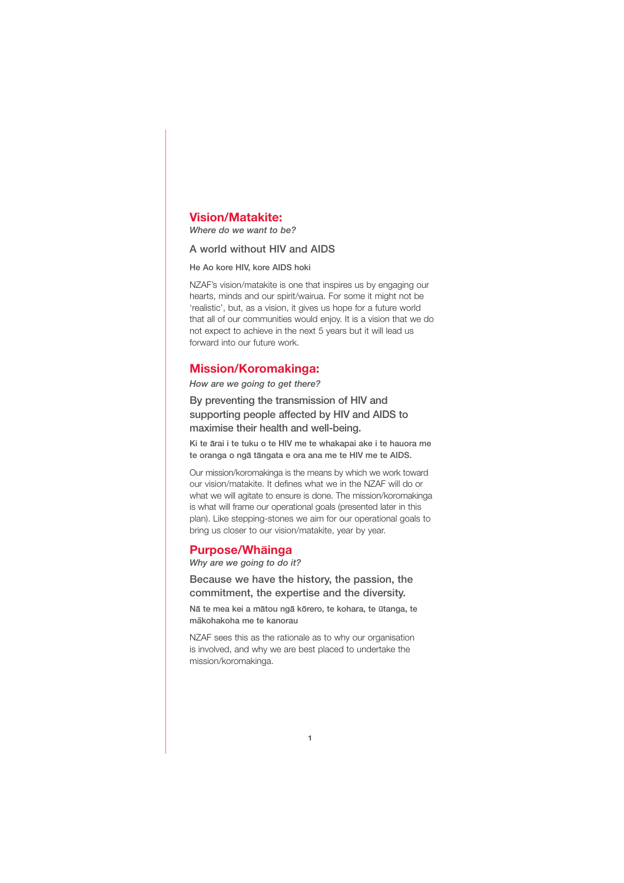# **Vision/Matakite:**

*Where do we want to be?* 

### A world without HIV and AIDS

He Ao kore HIV, kore AIDS hoki

NZAF's vision/matakite is one that inspires us by engaging our hearts, minds and our spirit/wairua. For some it might not be 'realistic', but, as a vision, it gives us hope for a future world that all of our communities would enjoy. It is a vision that we do not expect to achieve in the next 5 years but it will lead us forward into our future work.

### **Mission/Koromakinga:**

*How are we going to get there?*

By preventing the transmission of HIV and supporting people affected by HIV and AIDS to maximise their health and well-being.

Ki te arai i te tuku o te HIV me te whakapai ake i te hauora me te oranga o nga tangata e ora ana me te HIV me te AIDS.

Our mission/koromakinga is the means by which we work toward our vision/matakite. It defines what we in the NZAF will do or what we will agitate to ensure is done. The mission/koromakinga is what will frame our operational goals (presented later in this plan). Like stepping-stones we aim for our operational goals to bring us closer to our vision/matakite, year by year.

# **Purpose/Whainga**

*Why are we going to do it?*

Because we have the history, the passion, the commitment, the expertise and the diversity.

Nā te mea kei a mātou ngā kōrero, te kohara, te ūtanga, te makohakoha me te kanorau

NZAF sees this as the rationale as to why our organisation is involved, and why we are best placed to undertake the mission/koromakinga.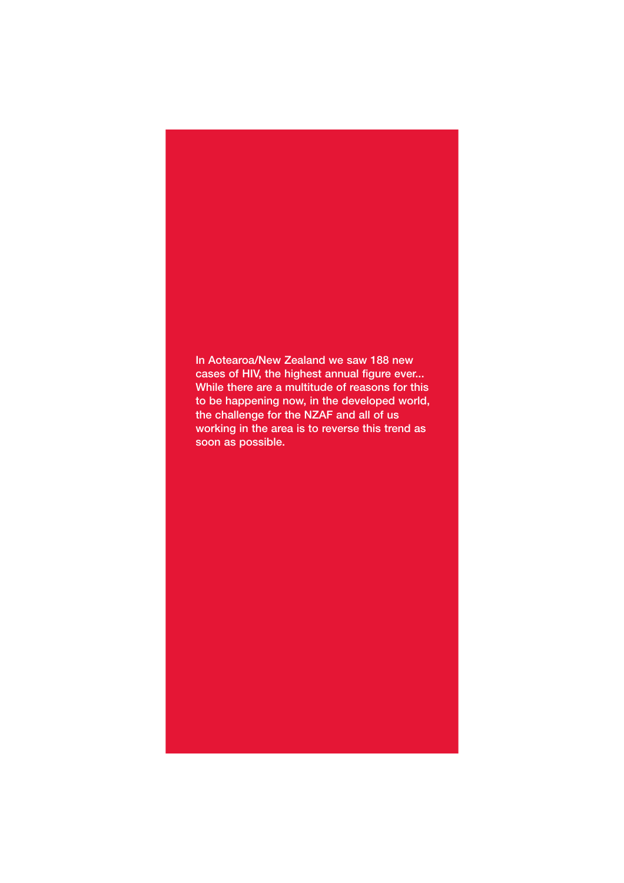In Aotearoa/New Zealand we saw 188 new cases of HIV, the highest annual figure ever... While there are a multitude of reasons for this to be happening now, in the developed world, the challenge for the NZAF and all of us working in the area is to reverse this trend as soon as possible.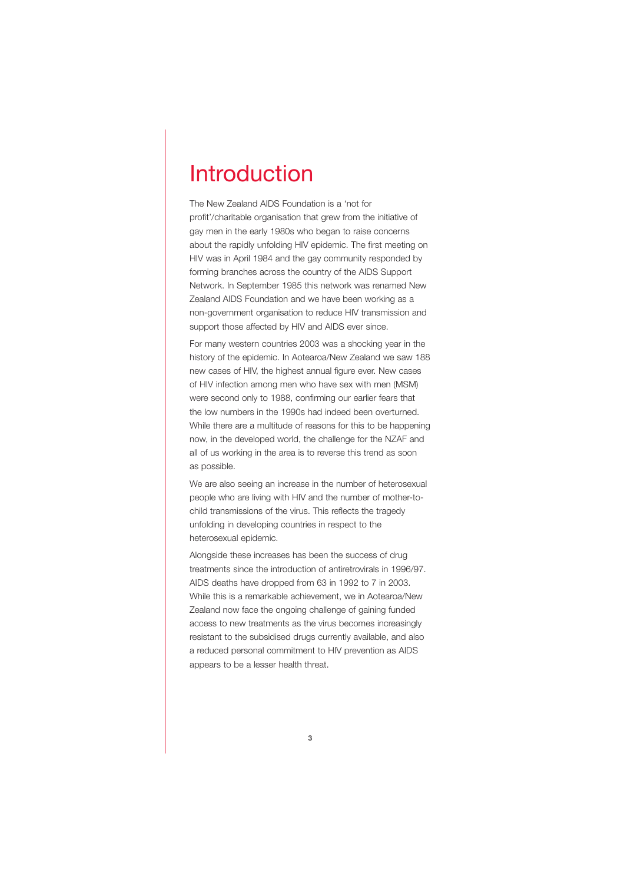# Introduction

The New Zealand AIDS Foundation is a 'not for profit'/charitable organisation that grew from the initiative of gay men in the early 1980s who began to raise concerns about the rapidly unfolding HIV epidemic. The first meeting on HIV was in April 1984 and the gay community responded by forming branches across the country of the AIDS Support Network. In September 1985 this network was renamed New Zealand AIDS Foundation and we have been working as a non-government organisation to reduce HIV transmission and support those affected by HIV and AIDS ever since.

For many western countries 2003 was a shocking year in the history of the epidemic. In Aotearoa/New Zealand we saw 188 new cases of HIV, the highest annual figure ever. New cases of HIV infection among men who have sex with men (MSM) were second only to 1988, confirming our earlier fears that the low numbers in the 1990s had indeed been overturned. While there are a multitude of reasons for this to be happening now, in the developed world, the challenge for the NZAF and all of us working in the area is to reverse this trend as soon as possible.

We are also seeing an increase in the number of heterosexual people who are living with HIV and the number of mother-tochild transmissions of the virus. This reflects the tragedy unfolding in developing countries in respect to the heterosexual epidemic.

Alongside these increases has been the success of drug treatments since the introduction of antiretrovirals in 1996/97. AIDS deaths have dropped from 63 in 1992 to 7 in 2003. While this is a remarkable achievement, we in Aotearoa/New Zealand now face the ongoing challenge of gaining funded access to new treatments as the virus becomes increasingly resistant to the subsidised drugs currently available, and also a reduced personal commitment to HIV prevention as AIDS appears to be a lesser health threat.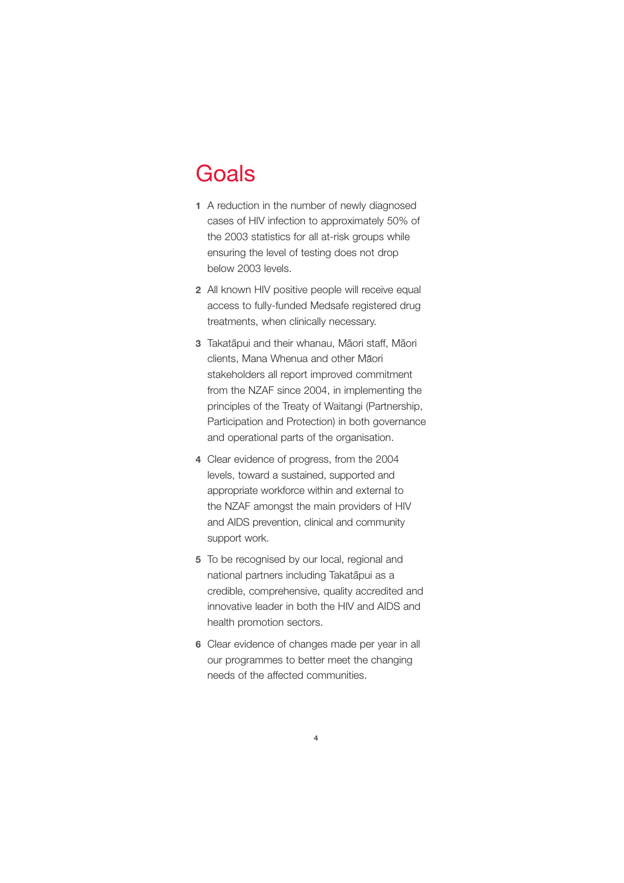# **Goals**

- **1** A reduction in the number of newly diagnosed cases of HIV infection to approximately 50% of the 2003 statistics for all at-risk groups while ensuring the level of testing does not drop below 2003 levels.
- **2** All known HIV positive people will receive equal access to fully-funded Medsafe registered drug treatments, when clinically necessary.
- **3** Takatapui and their whanau, Maori staff, Maori clients, Mana Whenua and other Māori stakeholders all report improved commitment from the NZAF since 2004, in implementing the principles of the Treaty of Waitangi (Partnership, Participation and Protection) in both governance and operational parts of the organisation.
- **4** Clear evidence of progress, from the 2004 levels, toward a sustained, supported and appropriate workforce within and external to the NZAF amongst the main providers of HIV and AIDS prevention, clinical and community support work.
- **5** To be recognised by our local, regional and national partners including Takatapui as a credible, comprehensive, quality accredited and innovative leader in both the HIV and AIDS and health promotion sectors.
- **6** Clear evidence of changes made per year in all our programmes to better meet the changing needs of the affected communities.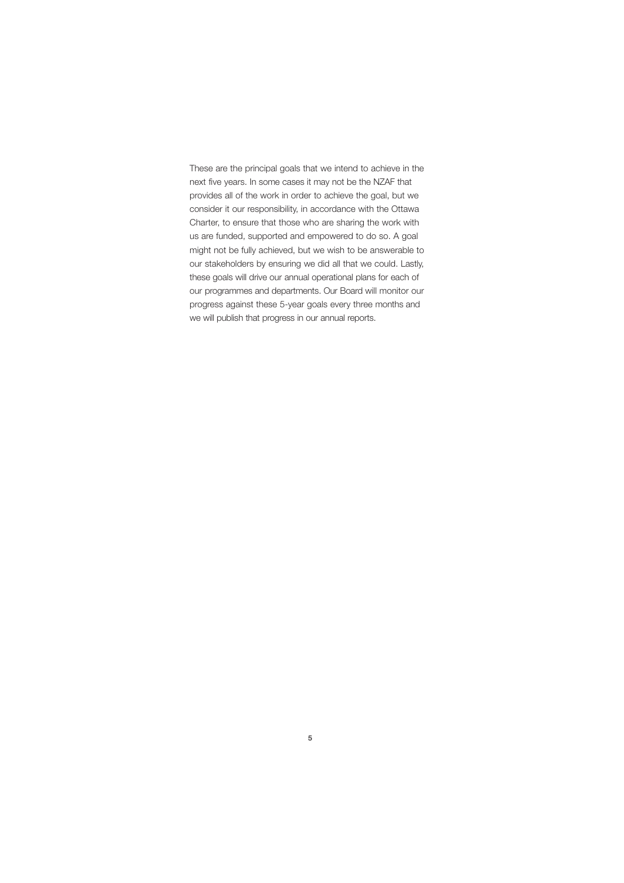These are the principal goals that we intend to achieve in the next five years. In some cases it may not be the NZAF that provides all of the work in order to achieve the goal, but we consider it our responsibility, in accordance with the Ottawa Charter, to ensure that those who are sharing the work with us are funded, supported and empowered to do so. A goal might not be fully achieved, but we wish to be answerable to our stakeholders by ensuring we did all that we could. Lastly, these goals will drive our annual operational plans for each of our programmes and departments. Our Board will monitor our progress against these 5-year goals every three months and we will publish that progress in our annual reports.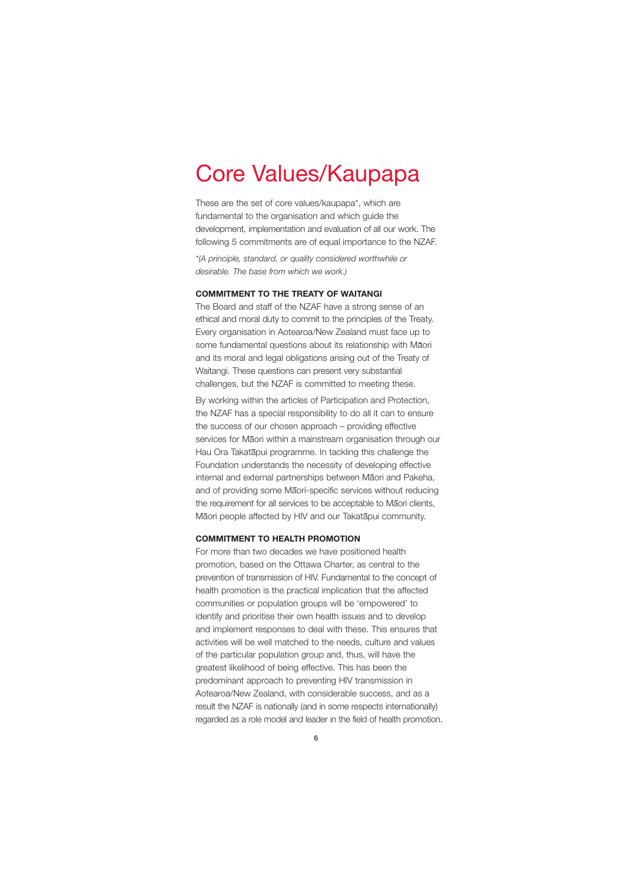# Core Values/Kaupapa

These are the set of core values/kaupapa\*, which are fundamental to the organisation and which guide the development, implementation and evaluation of all our work. The following 5 commitments are of equal importance to the NZAF.

*\*(A principle, standard, or quality considered worthwhile or desirable. The base from which we work.)*

#### **COMMITMENT TO THE TREATY OF WAITANGI**

The Board and staff of the NZAF have a strong sense of an ethical and moral duty to commit to the principles of the Treaty. Every organisation in Aotearoa/New Zealand must face up to some fundamental questions about its relationship with Māori and its moral and legal obligations arising out of the Treaty of Waitangi. These questions can present very substantial challenges, but the NZAF is committed to meeting these.

By working within the articles of Participation and Protection, the NZAF has a special responsibility to do all it can to ensure the success of our chosen approach – providing effective services for Māori within a mainstream organisation through our Hau Ora Takatapui programme. In tackling this challenge the Foundation understands the necessity of developing effective internal and external partnerships between Maori and Pakeha, and of providing some Maori-specific services without reducing the requirement for all services to be acceptable to Maori clients, Māori people affected by HIV and our Takatāpui community.

#### **COMMITMENT TO HEALTH PROMOTION**

For more than two decades we have positioned health promotion, based on the Ottawa Charter, as central to the prevention of transmission of HIV. Fundamental to the concept of health promotion is the practical implication that the affected communities or population groups will be 'empowered' to identify and prioritise their own health issues and to develop and implement responses to deal with these. This ensures that activities will be well matched to the needs, culture and values of the particular population group and, thus, will have the greatest likelihood of being effective. This has been the predominant approach to preventing HIV transmission in Aotearoa/New Zealand, with considerable success, and as a result the NZAF is nationally (and in some respects internationally) regarded as a role model and leader in the field of health promotion.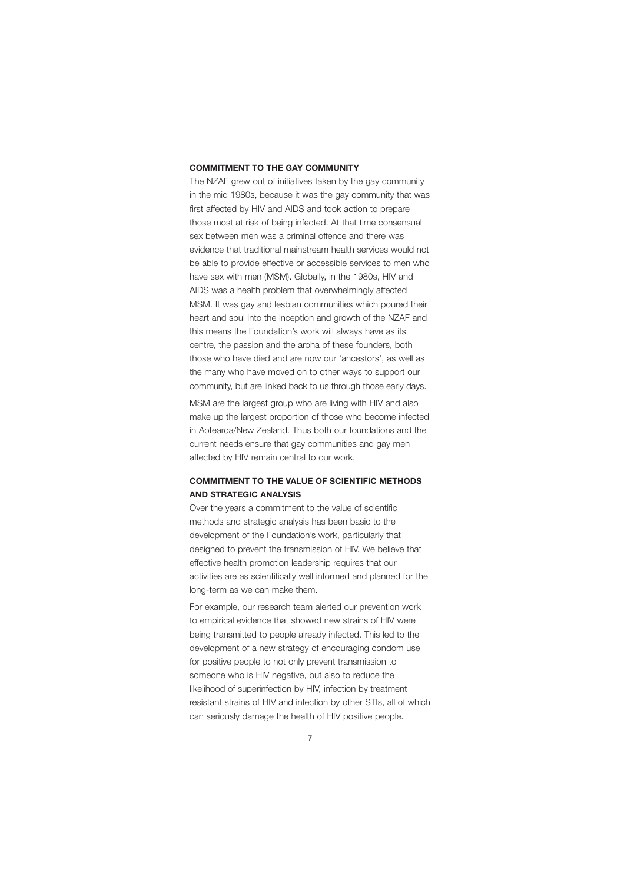#### **COMMITMENT TO THE GAY COMMUNITY**

The NZAF grew out of initiatives taken by the gay community in the mid 1980s, because it was the gay community that was first affected by HIV and AIDS and took action to prepare those most at risk of being infected. At that time consensual sex between men was a criminal offence and there was evidence that traditional mainstream health services would not be able to provide effective or accessible services to men who have sex with men (MSM). Globally, in the 1980s, HIV and AIDS was a health problem that overwhelmingly affected MSM. It was gay and lesbian communities which poured their heart and soul into the inception and growth of the NZAF and this means the Foundation's work will always have as its centre, the passion and the aroha of these founders, both those who have died and are now our 'ancestors', as well as the many who have moved on to other ways to support our community, but are linked back to us through those early days.

MSM are the largest group who are living with HIV and also make up the largest proportion of those who become infected in Aotearoa/New Zealand. Thus both our foundations and the current needs ensure that gay communities and gay men affected by HIV remain central to our work.

# **COMMITMENT TO THE VALUE OF SCIENTIFIC METHODS AND STRATEGIC ANALYSIS**

Over the years a commitment to the value of scientific methods and strategic analysis has been basic to the development of the Foundation's work, particularly that designed to prevent the transmission of HIV. We believe that effective health promotion leadership requires that our activities are as scientifically well informed and planned for the long-term as we can make them.

For example, our research team alerted our prevention work to empirical evidence that showed new strains of HIV were being transmitted to people already infected. This led to the development of a new strategy of encouraging condom use for positive people to not only prevent transmission to someone who is HIV negative, but also to reduce the likelihood of superinfection by HIV, infection by treatment resistant strains of HIV and infection by other STIs, all of which can seriously damage the health of HIV positive people.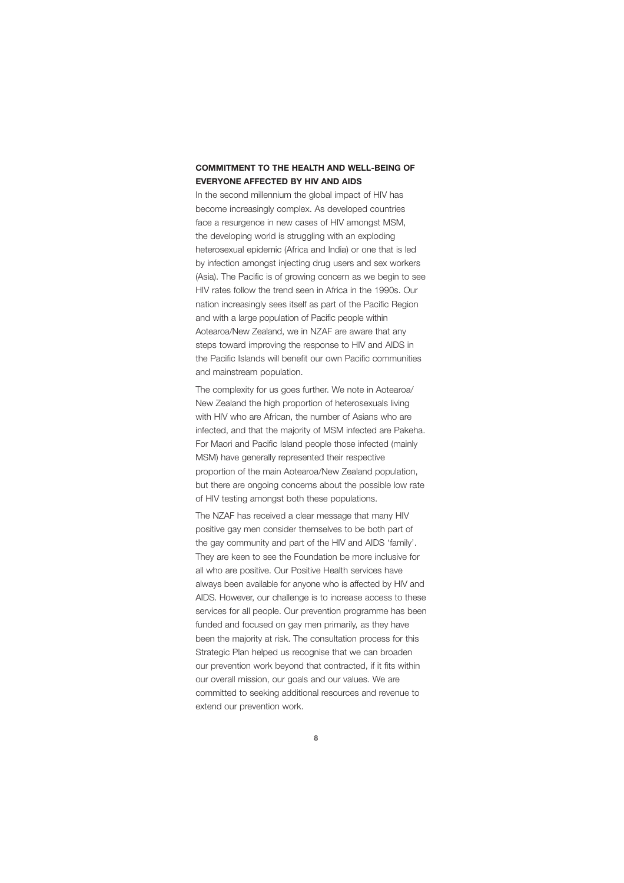### **COMMITMENT TO THE HEALTH AND WELL-BEING OF EVERYONE AFFECTED BY HIV AND AIDS**

In the second millennium the global impact of HIV has become increasingly complex. As developed countries face a resurgence in new cases of HIV amongst MSM, the developing world is struggling with an exploding heterosexual epidemic (Africa and India) or one that is led by infection amongst injecting drug users and sex workers (Asia). The Pacific is of growing concern as we begin to see HIV rates follow the trend seen in Africa in the 1990s. Our nation increasingly sees itself as part of the Pacific Region and with a large population of Pacific people within Aotearoa/New Zealand, we in NZAF are aware that any steps toward improving the response to HIV and AIDS in the Pacific Islands will benefit our own Pacific communities and mainstream population.

The complexity for us goes further. We note in Aotearoa/ New Zealand the high proportion of heterosexuals living with HIV who are African, the number of Asians who are infected, and that the majority of MSM infected are Pakeha. For Maori and Pacific Island people those infected (mainly MSM) have generally represented their respective proportion of the main Aotearoa/New Zealand population, but there are ongoing concerns about the possible low rate of HIV testing amongst both these populations.

The NZAF has received a clear message that many HIV positive gay men consider themselves to be both part of the gay community and part of the HIV and AIDS 'family'. They are keen to see the Foundation be more inclusive for all who are positive. Our Positive Health services have always been available for anyone who is affected by HIV and AIDS. However, our challenge is to increase access to these services for all people. Our prevention programme has been funded and focused on gay men primarily, as they have been the majority at risk. The consultation process for this Strategic Plan helped us recognise that we can broaden our prevention work beyond that contracted, if it fits within our overall mission, our goals and our values. We are committed to seeking additional resources and revenue to extend our prevention work.